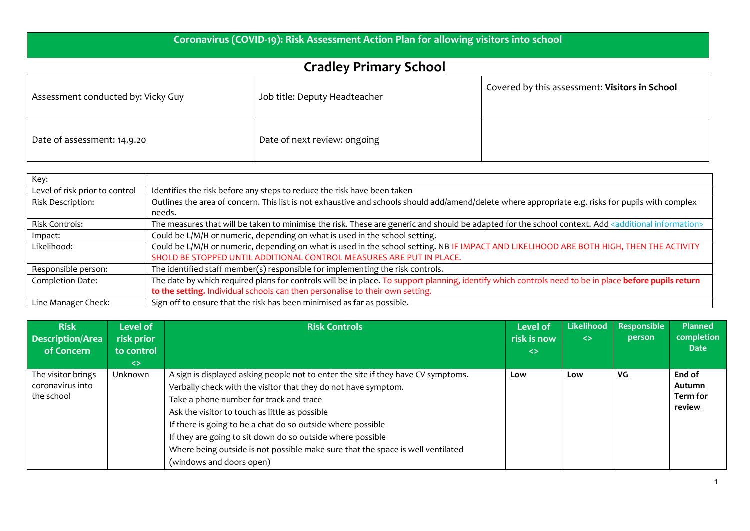## **Coronavirus (COVID-19): Risk Assessment Action Plan for allowing visitors into school**

## **Cradley Primary School**

| Assessment conducted by: Vicky Guy | Job title: Deputy Headteacher | Covered by this assessment: Visitors in School |  |  |  |
|------------------------------------|-------------------------------|------------------------------------------------|--|--|--|
| Date of assessment: 14.9.20        | Date of next review: ongoing  |                                                |  |  |  |

| Key:                           |                                                                                                                                                                    |
|--------------------------------|--------------------------------------------------------------------------------------------------------------------------------------------------------------------|
| Level of risk prior to control | Identifies the risk before any steps to reduce the risk have been taken                                                                                            |
| Risk Description:              | Outlines the area of concern. This list is not exhaustive and schools should add/amend/delete where appropriate e.g. risks for pupils with complex                 |
|                                | needs.                                                                                                                                                             |
| <b>Risk Controls:</b>          | The measures that will be taken to minimise the risk. These are generic and should be adapted for the school context. Add <additional information=""></additional> |
| Impact:                        | Could be L/M/H or numeric, depending on what is used in the school setting.                                                                                        |
| Likelihood:                    | Could be L/M/H or numeric, depending on what is used in the school setting. NB IF IMPACT AND LIKELIHOOD ARE BOTH HIGH, THEN THE ACTIVITY                           |
|                                | SHOLD BE STOPPED UNTIL ADDITIONAL CONTROL MEASURES ARE PUT IN PLACE.                                                                                               |
| Responsible person:            | The identified staff member(s) responsible for implementing the risk controls.                                                                                     |
| Completion Date:               | The date by which required plans for controls will be in place. To support planning, identify which controls need to be in place before pupils return              |
|                                | to the setting. Individual schools can then personalise to their own setting.                                                                                      |
| Line Manager Check:            | Sign off to ensure that the risk has been minimised as far as possible.                                                                                            |

| <b>Risk</b><br><b>Description/Area</b><br>of Concern | Level of<br>risk prior<br>to control<br>$\leftrightarrow$ | <b>Risk Controls</b>                                                                                                                                                                                                                                                                                                                                                                                                                                                                         | <b>Level of</b><br>risk is now<br>$\left\langle \right\rangle$ | Likelihood<br>$\leftrightarrow$ | Responsible<br>person | <b>Planned</b><br>completion<br><b>Date</b>   |
|------------------------------------------------------|-----------------------------------------------------------|----------------------------------------------------------------------------------------------------------------------------------------------------------------------------------------------------------------------------------------------------------------------------------------------------------------------------------------------------------------------------------------------------------------------------------------------------------------------------------------------|----------------------------------------------------------------|---------------------------------|-----------------------|-----------------------------------------------|
| The visitor brings<br>coronavirus into<br>the school | <b>Unknown</b>                                            | A sign is displayed asking people not to enter the site if they have CV symptoms.<br>Verbally check with the visitor that they do not have symptom.<br>Take a phone number for track and trace<br>Ask the visitor to touch as little as possible<br>If there is going to be a chat do so outside where possible<br>If they are going to sit down do so outside where possible<br>Where being outside is not possible make sure that the space is well ventilated<br>(windows and doors open) | Low                                                            | Low                             | <u>VG</u>             | End of<br>Autumn<br>Term for<br><u>review</u> |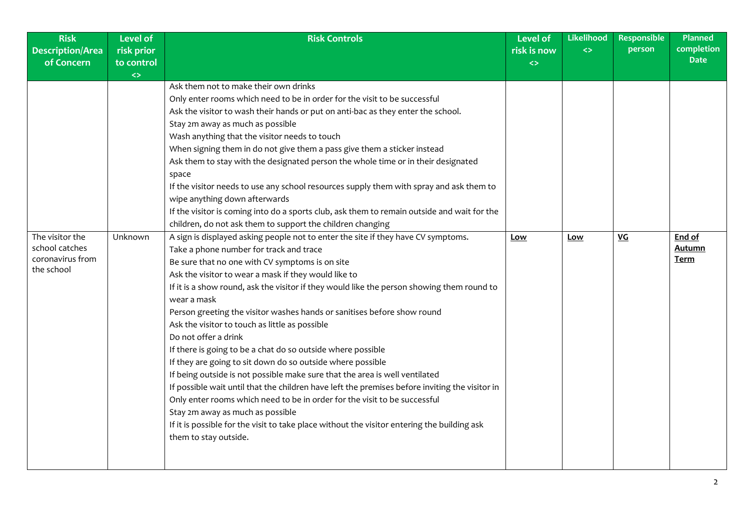| <b>Description/Area</b><br>risk prior<br>risk is now<br>of Concern<br>to control<br>$\leftrightarrow$<br>$\leftrightarrow$<br>Ask them not to make their own drinks<br>Only enter rooms which need to be in order for the visit to be successful<br>Ask the visitor to wash their hands or put on anti-bac as they enter the school.<br>Stay 2m away as much as possible<br>Wash anything that the visitor needs to touch<br>When signing them in do not give them a pass give them a sticker instead                                                                                                                                                                                                                                                                                                                                                                                                                                                                                                                                                                                                                                                                                                                                                                                                                                                                                                                                                                                                                                                   | $\leftrightarrow$ | person    | completion<br><b>Date</b>              |
|---------------------------------------------------------------------------------------------------------------------------------------------------------------------------------------------------------------------------------------------------------------------------------------------------------------------------------------------------------------------------------------------------------------------------------------------------------------------------------------------------------------------------------------------------------------------------------------------------------------------------------------------------------------------------------------------------------------------------------------------------------------------------------------------------------------------------------------------------------------------------------------------------------------------------------------------------------------------------------------------------------------------------------------------------------------------------------------------------------------------------------------------------------------------------------------------------------------------------------------------------------------------------------------------------------------------------------------------------------------------------------------------------------------------------------------------------------------------------------------------------------------------------------------------------------|-------------------|-----------|----------------------------------------|
|                                                                                                                                                                                                                                                                                                                                                                                                                                                                                                                                                                                                                                                                                                                                                                                                                                                                                                                                                                                                                                                                                                                                                                                                                                                                                                                                                                                                                                                                                                                                                         |                   |           |                                        |
|                                                                                                                                                                                                                                                                                                                                                                                                                                                                                                                                                                                                                                                                                                                                                                                                                                                                                                                                                                                                                                                                                                                                                                                                                                                                                                                                                                                                                                                                                                                                                         |                   |           |                                        |
| Ask them to stay with the designated person the whole time or in their designated<br>space<br>If the visitor needs to use any school resources supply them with spray and ask them to<br>wipe anything down afterwards<br>If the visitor is coming into do a sports club, ask them to remain outside and wait for the<br>children, do not ask them to support the children changing<br>The visitor the<br>A sign is displayed asking people not to enter the site if they have CV symptoms.<br>Unknown<br><b>Low</b><br>school catches<br>Take a phone number for track and trace<br>coronavirus from<br>Be sure that no one with CV symptoms is on site<br>the school<br>Ask the visitor to wear a mask if they would like to<br>If it is a show round, ask the visitor if they would like the person showing them round to<br>wear a mask<br>Person greeting the visitor washes hands or sanitises before show round<br>Ask the visitor to touch as little as possible<br>Do not offer a drink<br>If there is going to be a chat do so outside where possible<br>If they are going to sit down do so outside where possible<br>If being outside is not possible make sure that the area is well ventilated<br>If possible wait until that the children have left the premises before inviting the visitor in<br>Only enter rooms which need to be in order for the visit to be successful<br>Stay 2m away as much as possible<br>If it is possible for the visit to take place without the visitor entering the building ask<br>them to stay outside. | <b>Low</b>        | <b>VG</b> | End of<br><u>Autumn</u><br><u>Term</u> |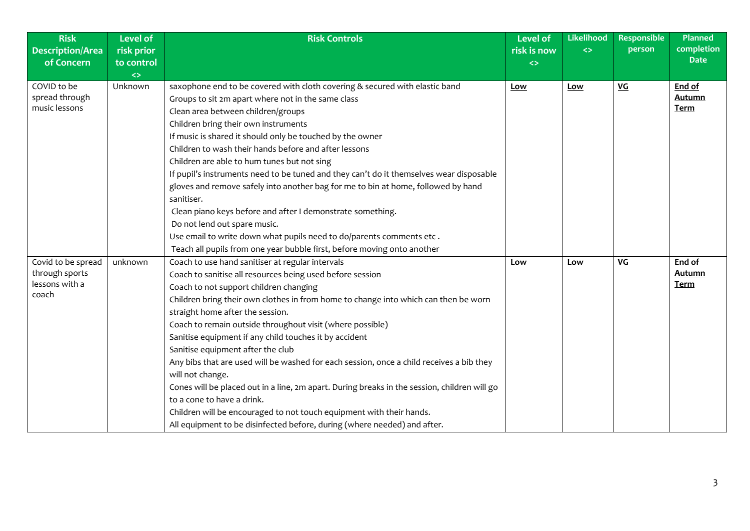| <b>Risk</b><br><b>Description/Area</b>                          | <b>Level of</b><br>risk prior | <b>Risk Controls</b>                                                                                                                                                                                                                                                                                                                                                                                                                                                                                                                                                                                                                                                                                                                                                                                                                             | <b>Level of</b><br>risk is now | Likelihood<br>$\leftrightarrow$ | <b>Responsible</b><br>person | <b>Planned</b><br>completion           |
|-----------------------------------------------------------------|-------------------------------|--------------------------------------------------------------------------------------------------------------------------------------------------------------------------------------------------------------------------------------------------------------------------------------------------------------------------------------------------------------------------------------------------------------------------------------------------------------------------------------------------------------------------------------------------------------------------------------------------------------------------------------------------------------------------------------------------------------------------------------------------------------------------------------------------------------------------------------------------|--------------------------------|---------------------------------|------------------------------|----------------------------------------|
| of Concern                                                      | to control                    |                                                                                                                                                                                                                                                                                                                                                                                                                                                                                                                                                                                                                                                                                                                                                                                                                                                  | $\leftrightarrow$              |                                 |                              | <b>Date</b>                            |
| COVID to be<br>spread through<br>music lessons                  | $\langle \rangle$<br>Unknown  | saxophone end to be covered with cloth covering & secured with elastic band<br>Groups to sit 2m apart where not in the same class<br>Clean area between children/groups<br>Children bring their own instruments<br>If music is shared it should only be touched by the owner                                                                                                                                                                                                                                                                                                                                                                                                                                                                                                                                                                     | Low                            | Low                             | <b>VG</b>                    | End of<br><b>Autumn</b><br>Term        |
|                                                                 |                               | Children to wash their hands before and after lessons<br>Children are able to hum tunes but not sing<br>If pupil's instruments need to be tuned and they can't do it themselves wear disposable<br>gloves and remove safely into another bag for me to bin at home, followed by hand<br>sanitiser.<br>Clean piano keys before and after I demonstrate something.<br>Do not lend out spare music.<br>Use email to write down what pupils need to do/parents comments etc.<br>Teach all pupils from one year bubble first, before moving onto another                                                                                                                                                                                                                                                                                              |                                |                                 |                              |                                        |
| Covid to be spread<br>through sports<br>lessons with a<br>coach | unknown                       | Coach to use hand sanitiser at regular intervals<br>Coach to sanitise all resources being used before session<br>Coach to not support children changing<br>Children bring their own clothes in from home to change into which can then be worn<br>straight home after the session.<br>Coach to remain outside throughout visit (where possible)<br>Sanitise equipment if any child touches it by accident<br>Sanitise equipment after the club<br>Any bibs that are used will be washed for each session, once a child receives a bib they<br>will not change.<br>Cones will be placed out in a line, 2m apart. During breaks in the session, children will go<br>to a cone to have a drink.<br>Children will be encouraged to not touch equipment with their hands.<br>All equipment to be disinfected before, during (where needed) and after. | <b>Low</b>                     | Low                             | $VG$                         | End of<br><b>Autumn</b><br><b>Term</b> |